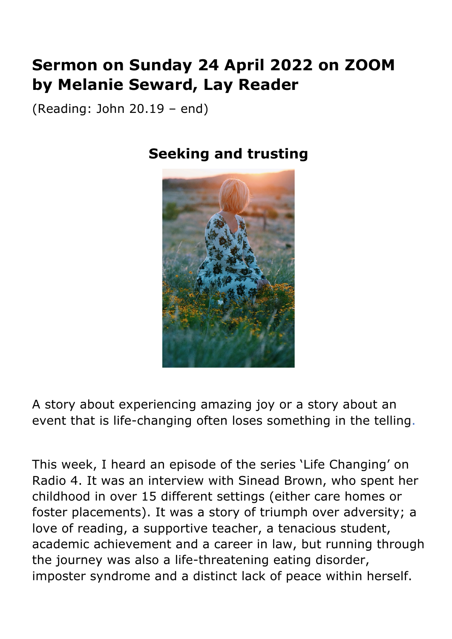## **Sermon on Sunday 24 April 2022 on ZOOM by Melanie Seward, Lay Reader**

(Reading: John 20.19 – end)

## **Seeking and trusting**



A story about experiencing amazing joy or a story about an event that is life-changing often loses something in the telling.

This week, I heard an episode of the series 'Life Changing' on Radio 4. It was an interview with Sinead Brown, who spent her childhood in over 15 different settings (either care homes or foster placements). It was a story of triumph over adversity; a love of reading, a supportive teacher, a tenacious student, academic achievement and a career in law, but running through the journey was also a life-threatening eating disorder, imposter syndrome and a distinct lack of peace within herself.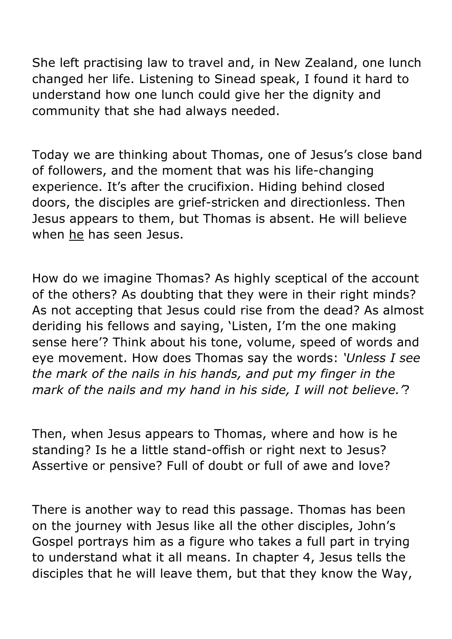She left practising law to travel and, in New Zealand, one lunch changed her life. Listening to Sinead speak, I found it hard to understand how one lunch could give her the dignity and community that she had always needed.

Today we are thinking about Thomas, one of Jesus's close band of followers, and the moment that was his life-changing experience. It's after the crucifixion. Hiding behind closed doors, the disciples are grief-stricken and directionless. Then Jesus appears to them, but Thomas is absent. He will believe when he has seen Jesus.

How do we imagine Thomas? As highly sceptical of the account of the others? As doubting that they were in their right minds? As not accepting that Jesus could rise from the dead? As almost deriding his fellows and saying, 'Listen, I'm the one making sense here'? Think about his tone, volume, speed of words and eye movement. How does Thomas say the words: *'Unless I see the mark of the nails in his hands, and put my finger in the mark of the nails and my hand in his side, I will not believe.'*?

Then, when Jesus appears to Thomas, where and how is he standing? Is he a little stand-offish or right next to Jesus? Assertive or pensive? Full of doubt or full of awe and love?

There is another way to read this passage. Thomas has been on the journey with Jesus like all the other disciples, John's Gospel portrays him as a figure who takes a full part in trying to understand what it all means. In chapter 4, Jesus tells the disciples that he will leave them, but that they know the Way,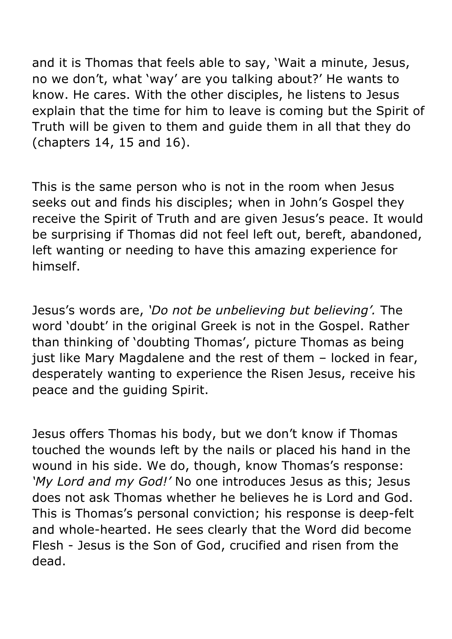and it is Thomas that feels able to say, 'Wait a minute, Jesus, no we don't, what 'way' are you talking about?' He wants to know. He cares. With the other disciples, he listens to Jesus explain that the time for him to leave is coming but the Spirit of Truth will be given to them and guide them in all that they do (chapters 14, 15 and 16).

This is the same person who is not in the room when Jesus seeks out and finds his disciples; when in John's Gospel they receive the Spirit of Truth and are given Jesus's peace. It would be surprising if Thomas did not feel left out, bereft, abandoned, left wanting or needing to have this amazing experience for himself.

Jesus's words are, *'Do not be unbelieving but believing'.* The word 'doubt' in the original Greek is not in the Gospel. Rather than thinking of 'doubting Thomas', picture Thomas as being just like Mary Magdalene and the rest of them – locked in fear, desperately wanting to experience the Risen Jesus, receive his peace and the guiding Spirit.

Jesus offers Thomas his body, but we don't know if Thomas touched the wounds left by the nails or placed his hand in the wound in his side. We do, though, know Thomas's response: *'My Lord and my God!'* No one introduces Jesus as this; Jesus does not ask Thomas whether he believes he is Lord and God. This is Thomas's personal conviction; his response is deep-felt and whole-hearted. He sees clearly that the Word did become Flesh - Jesus is the Son of God, crucified and risen from the dead.